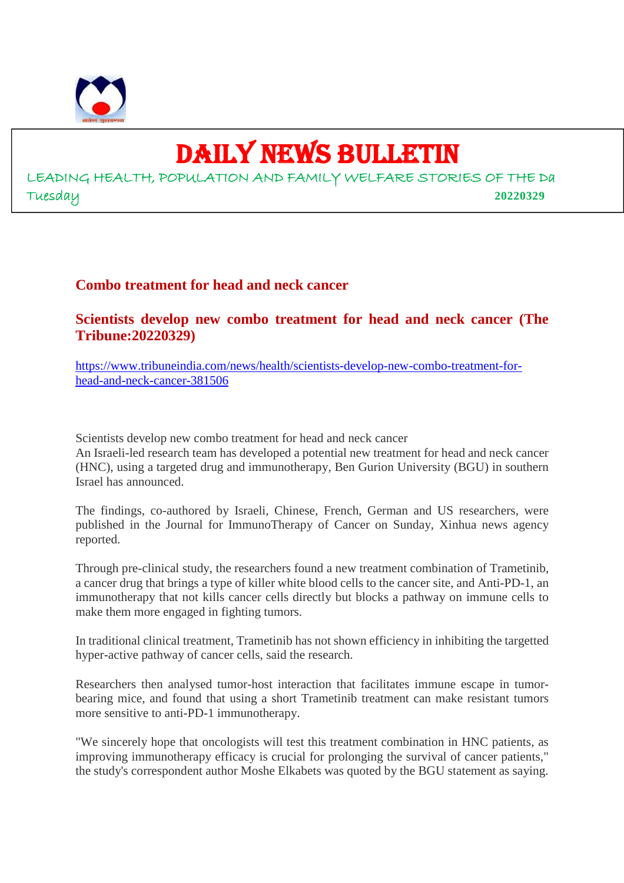

# DAILY NEWS BULLETIN

LEADING HEALTH, POPULATION AND FAMILY WELFARE STORIES OF THE Da Tuesday **20220329**

## **Combo treatment for head and neck cancer**

**Scientists develop new combo treatment for head and neck cancer (The Tribune:20220329)**

https://www.tribuneindia.com/news/health/scientists-develop-new-combo-treatment-forhead-and-neck-cancer-381506

Scientists develop new combo treatment for head and neck cancer

An Israeli-led research team has developed a potential new treatment for head and neck cancer (HNC), using a targeted drug and immunotherapy, Ben Gurion University (BGU) in southern Israel has announced.

The findings, co-authored by Israeli, Chinese, French, German and US researchers, were published in the Journal for ImmunoTherapy of Cancer on Sunday, Xinhua news agency reported.

Through pre-clinical study, the researchers found a new treatment combination of Trametinib, a cancer drug that brings a type of killer white blood cells to the cancer site, and Anti-PD-1, an immunotherapy that not kills cancer cells directly but blocks a pathway on immune cells to make them more engaged in fighting tumors.

In traditional clinical treatment, Trametinib has not shown efficiency in inhibiting the targetted hyper-active pathway of cancer cells, said the research.

Researchers then analysed tumor-host interaction that facilitates immune escape in tumorbearing mice, and found that using a short Trametinib treatment can make resistant tumors more sensitive to anti-PD-1 immunotherapy.

"We sincerely hope that oncologists will test this treatment combination in HNC patients, as improving immunotherapy efficacy is crucial for prolonging the survival of cancer patients," the study's correspondent author Moshe Elkabets was quoted by the BGU statement as saying.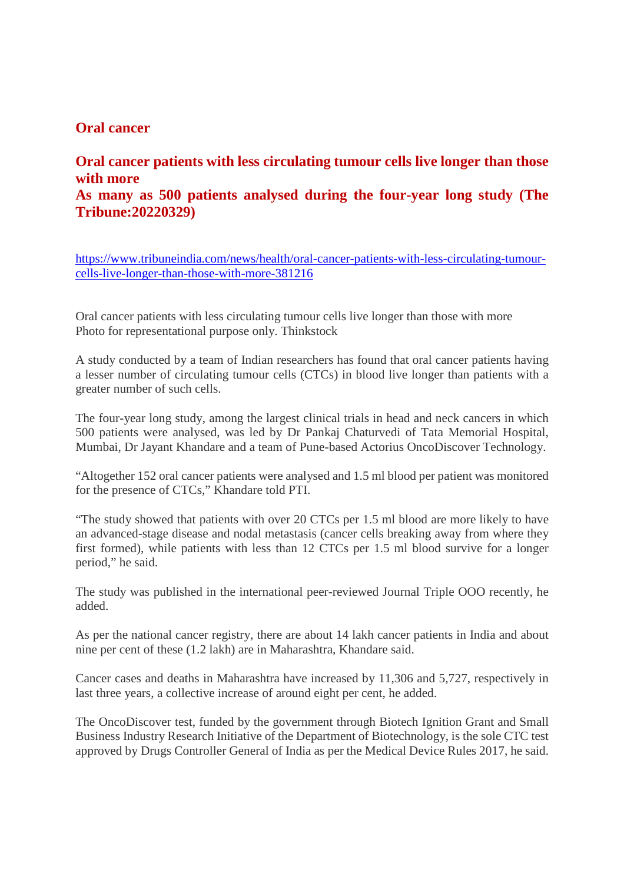## **Oral cancer**

# **Oral cancer patients with less circulating tumour cells live longer than those with more As many as 500 patients analysed during the four-year long study (The Tribune:20220329)**

https://www.tribuneindia.com/news/health/oral-cancer-patients-with-less-circulating-tumourcells-live-longer-than-those-with-more-381216

Oral cancer patients with less circulating tumour cells live longer than those with more Photo for representational purpose only. Thinkstock

A study conducted by a team of Indian researchers has found that oral cancer patients having a lesser number of circulating tumour cells (CTCs) in blood live longer than patients with a greater number of such cells.

The four-year long study, among the largest clinical trials in head and neck cancers in which 500 patients were analysed, was led by Dr Pankaj Chaturvedi of Tata Memorial Hospital, Mumbai, Dr Jayant Khandare and a team of Pune-based Actorius OncoDiscover Technology.

"Altogether 152 oral cancer patients were analysed and 1.5 ml blood per patient was monitored for the presence of CTCs," Khandare told PTI.

"The study showed that patients with over 20 CTCs per 1.5 ml blood are more likely to have an advanced-stage disease and nodal metastasis (cancer cells breaking away from where they first formed), while patients with less than 12 CTCs per 1.5 ml blood survive for a longer period," he said.

The study was published in the international peer-reviewed Journal Triple OOO recently, he added.

As per the national cancer registry, there are about 14 lakh cancer patients in India and about nine per cent of these (1.2 lakh) are in Maharashtra, Khandare said.

Cancer cases and deaths in Maharashtra have increased by 11,306 and 5,727, respectively in last three years, a collective increase of around eight per cent, he added.

The OncoDiscover test, funded by the government through Biotech Ignition Grant and Small Business Industry Research Initiative of the Department of Biotechnology, is the sole CTC test approved by Drugs Controller General of India as per the Medical Device Rules 2017, he said.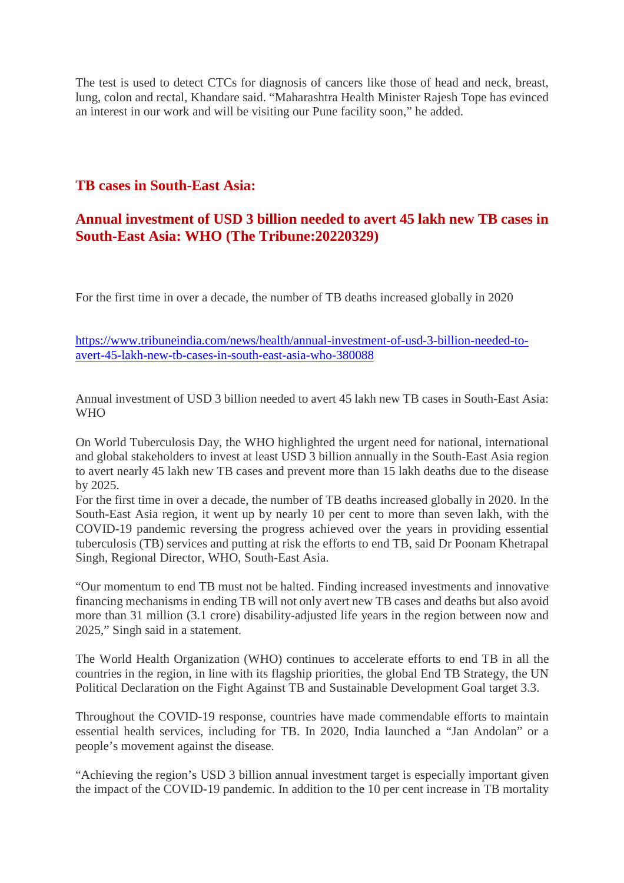The test is used to detect CTCs for diagnosis of cancers like those of head and neck, breast, lung, colon and rectal, Khandare said. "Maharashtra Health Minister Rajesh Tope has evinced an interest in our work and will be visiting our Pune facility soon," he added.

# **TB cases in South-East Asia:**

# **Annual investment of USD 3 billion needed to avert 45 lakh new TB cases in South-East Asia: WHO (The Tribune:20220329)**

For the first time in over a decade, the number of TB deaths increased globally in 2020

https://www.tribuneindia.com/news/health/annual-investment-of-usd-3-billion-needed-toavert-45-lakh-new-tb-cases-in-south-east-asia-who-380088

Annual investment of USD 3 billion needed to avert 45 lakh new TB cases in South-East Asia: W<sub>H</sub>O

On World Tuberculosis Day, the WHO highlighted the urgent need for national, international and global stakeholders to invest at least USD 3 billion annually in the South-East Asia region to avert nearly 45 lakh new TB cases and prevent more than 15 lakh deaths due to the disease by 2025.

For the first time in over a decade, the number of TB deaths increased globally in 2020. In the South-East Asia region, it went up by nearly 10 per cent to more than seven lakh, with the COVID-19 pandemic reversing the progress achieved over the years in providing essential tuberculosis (TB) services and putting at risk the efforts to end TB, said Dr Poonam Khetrapal Singh, Regional Director, WHO, South-East Asia.

"Our momentum to end TB must not be halted. Finding increased investments and innovative financing mechanisms in ending TB will not only avert new TB cases and deaths but also avoid more than 31 million (3.1 crore) disability-adjusted life years in the region between now and 2025," Singh said in a statement.

The World Health Organization (WHO) continues to accelerate efforts to end TB in all the countries in the region, in line with its flagship priorities, the global End TB Strategy, the UN Political Declaration on the Fight Against TB and Sustainable Development Goal target 3.3.

Throughout the COVID-19 response, countries have made commendable efforts to maintain essential health services, including for TB. In 2020, India launched a "Jan Andolan" or a people's movement against the disease.

"Achieving the region's USD 3 billion annual investment target is especially important given the impact of the COVID-19 pandemic. In addition to the 10 per cent increase in TB mortality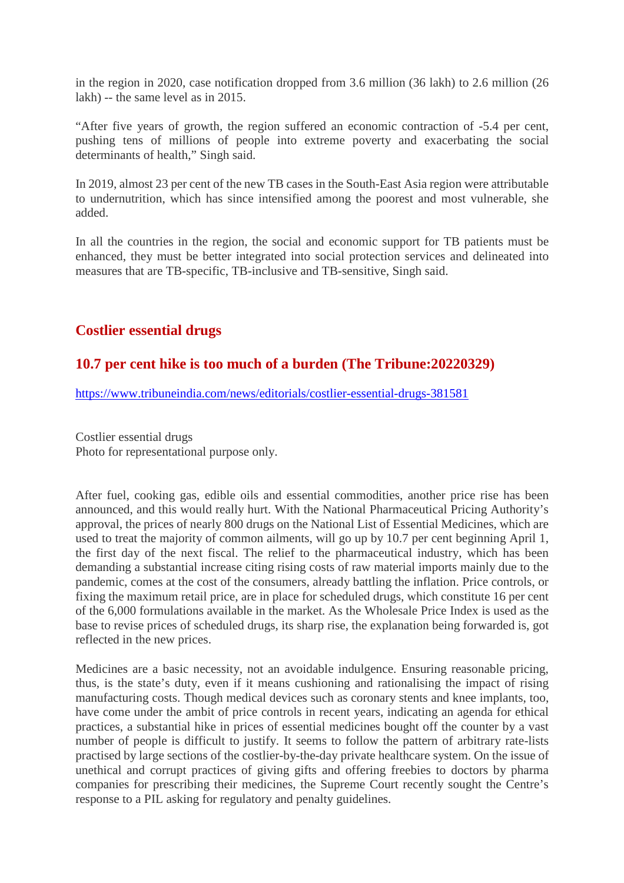in the region in 2020, case notification dropped from 3.6 million (36 lakh) to 2.6 million (26 lakh) -- the same level as in 2015.

"After five years of growth, the region suffered an economic contraction of -5.4 per cent, pushing tens of millions of people into extreme poverty and exacerbating the social determinants of health," Singh said.

In 2019, almost 23 per cent of the new TB cases in the South-East Asia region were attributable to undernutrition, which has since intensified among the poorest and most vulnerable, she added.

In all the countries in the region, the social and economic support for TB patients must be enhanced, they must be better integrated into social protection services and delineated into measures that are TB-specific, TB-inclusive and TB-sensitive, Singh said.

# **Costlier essential drugs**

## **10.7 per cent hike is too much of a burden (The Tribune:20220329)**

https://www.tribuneindia.com/news/editorials/costlier-essential-drugs-381581

Costlier essential drugs Photo for representational purpose only.

After fuel, cooking gas, edible oils and essential commodities, another price rise has been announced, and this would really hurt. With the National Pharmaceutical Pricing Authority's approval, the prices of nearly 800 drugs on the National List of Essential Medicines, which are used to treat the majority of common ailments, will go up by 10.7 per cent beginning April 1, the first day of the next fiscal. The relief to the pharmaceutical industry, which has been demanding a substantial increase citing rising costs of raw material imports mainly due to the pandemic, comes at the cost of the consumers, already battling the inflation. Price controls, or fixing the maximum retail price, are in place for scheduled drugs, which constitute 16 per cent of the 6,000 formulations available in the market. As the Wholesale Price Index is used as the base to revise prices of scheduled drugs, its sharp rise, the explanation being forwarded is, got reflected in the new prices.

Medicines are a basic necessity, not an avoidable indulgence. Ensuring reasonable pricing, thus, is the state's duty, even if it means cushioning and rationalising the impact of rising manufacturing costs. Though medical devices such as coronary stents and knee implants, too, have come under the ambit of price controls in recent years, indicating an agenda for ethical practices, a substantial hike in prices of essential medicines bought off the counter by a vast number of people is difficult to justify. It seems to follow the pattern of arbitrary rate-lists practised by large sections of the costlier-by-the-day private healthcare system. On the issue of unethical and corrupt practices of giving gifts and offering freebies to doctors by pharma companies for prescribing their medicines, the Supreme Court recently sought the Centre's response to a PIL asking for regulatory and penalty guidelines.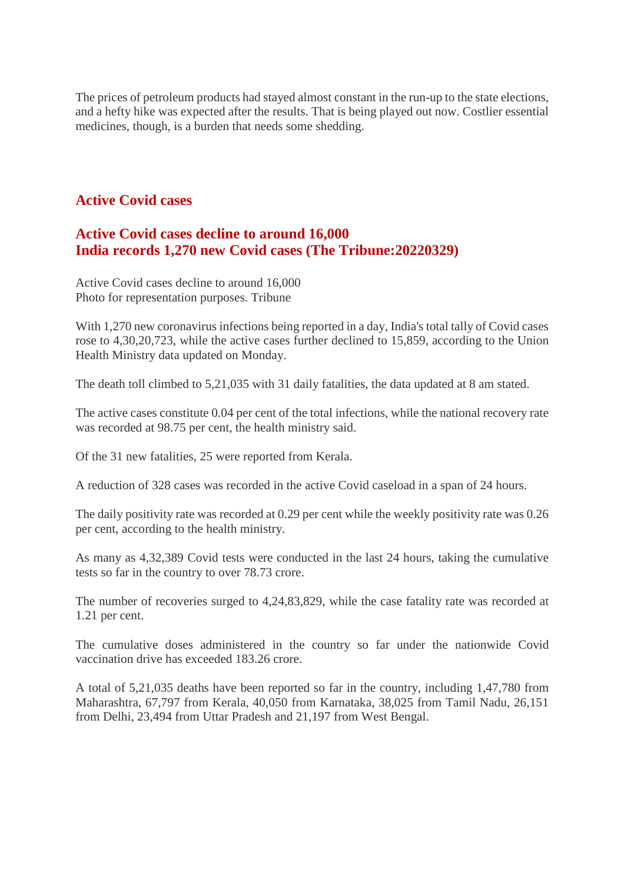The prices of petroleum products had stayed almost constant in the run-up to the state elections, and a hefty hike was expected after the results. That is being played out now. Costlier essential medicines, though, is a burden that needs some shedding.

## **Active Covid cases**

# **Active Covid cases decline to around 16,000 India records 1,270 new Covid cases (The Tribune:20220329)**

Active Covid cases decline to around 16,000 Photo for representation purposes. Tribune

With 1,270 new coronavirus infections being reported in a day, India's total tally of Covid cases rose to 4,30,20,723, while the active cases further declined to 15,859, according to the Union Health Ministry data updated on Monday.

The death toll climbed to 5,21,035 with 31 daily fatalities, the data updated at 8 am stated.

The active cases constitute 0.04 per cent of the total infections, while the national recovery rate was recorded at 98.75 per cent, the health ministry said.

Of the 31 new fatalities, 25 were reported from Kerala.

A reduction of 328 cases was recorded in the active Covid caseload in a span of 24 hours.

The daily positivity rate was recorded at 0.29 per cent while the weekly positivity rate was 0.26 per cent, according to the health ministry.

As many as 4,32,389 Covid tests were conducted in the last 24 hours, taking the cumulative tests so far in the country to over 78.73 crore.

The number of recoveries surged to 4,24,83,829, while the case fatality rate was recorded at 1.21 per cent.

The cumulative doses administered in the country so far under the nationwide Covid vaccination drive has exceeded 183.26 crore.

A total of 5,21,035 deaths have been reported so far in the country, including 1,47,780 from Maharashtra, 67,797 from Kerala, 40,050 from Karnataka, 38,025 from Tamil Nadu, 26,151 from Delhi, 23,494 from Uttar Pradesh and 21,197 from West Bengal.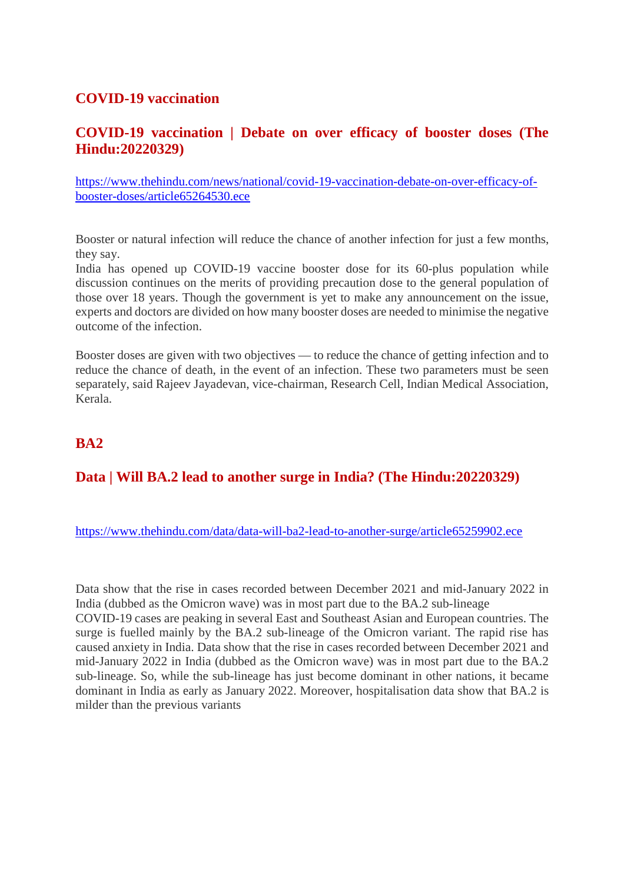## **COVID-19 vaccination**

## **COVID-19 vaccination | Debate on over efficacy of booster doses (The Hindu:20220329)**

https://www.thehindu.com/news/national/covid-19-vaccination-debate-on-over-efficacy-ofbooster-doses/article65264530.ece

Booster or natural infection will reduce the chance of another infection for just a few months, they say.

India has opened up COVID-19 vaccine booster dose for its 60-plus population while discussion continues on the merits of providing precaution dose to the general population of those over 18 years. Though the government is yet to make any announcement on the issue, experts and doctors are divided on how many booster doses are needed to minimise the negative outcome of the infection.

Booster doses are given with two objectives — to reduce the chance of getting infection and to reduce the chance of death, in the event of an infection. These two parameters must be seen separately, said Rajeev Jayadevan, vice-chairman, Research Cell, Indian Medical Association, Kerala.

# **BA2**

# **Data | Will BA.2 lead to another surge in India? (The Hindu:20220329)**

#### https://www.thehindu.com/data/data-will-ba2-lead-to-another-surge/article65259902.ece

Data show that the rise in cases recorded between December 2021 and mid-January 2022 in India (dubbed as the Omicron wave) was in most part due to the BA.2 sub-lineage COVID-19 cases are peaking in several East and Southeast Asian and European countries. The surge is fuelled mainly by the BA.2 sub-lineage of the Omicron variant. The rapid rise has caused anxiety in India. Data show that the rise in cases recorded between December 2021 and mid-January 2022 in India (dubbed as the Omicron wave) was in most part due to the BA.2 sub-lineage. So, while the sub-lineage has just become dominant in other nations, it became dominant in India as early as January 2022. Moreover, hospitalisation data show that BA.2 is milder than the previous variants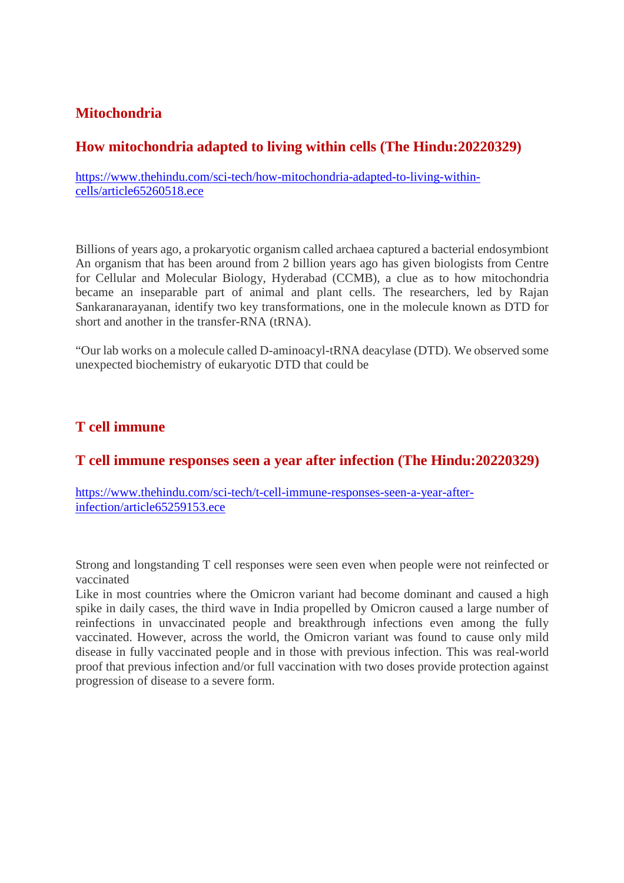# **Mitochondria**

## **How mitochondria adapted to living within cells (The Hindu:20220329)**

https://www.thehindu.com/sci-tech/how-mitochondria-adapted-to-living-withincells/article65260518.ece

Billions of years ago, a prokaryotic organism called archaea captured a bacterial endosymbiont An organism that has been around from 2 billion years ago has given biologists from Centre for Cellular and Molecular Biology, Hyderabad (CCMB), a clue as to how mitochondria became an inseparable part of animal and plant cells. The researchers, led by Rajan Sankaranarayanan, identify two key transformations, one in the molecule known as DTD for short and another in the transfer-RNA (tRNA).

"Our lab works on a molecule called D-aminoacyl-tRNA deacylase (DTD). We observed some unexpected biochemistry of eukaryotic DTD that could be

#### **T cell immune**

#### **T cell immune responses seen a year after infection (The Hindu:20220329)**

https://www.thehindu.com/sci-tech/t-cell-immune-responses-seen-a-year-afterinfection/article65259153.ece

Strong and longstanding T cell responses were seen even when people were not reinfected or vaccinated

Like in most countries where the Omicron variant had become dominant and caused a high spike in daily cases, the third wave in India propelled by Omicron caused a large number of reinfections in unvaccinated people and breakthrough infections even among the fully vaccinated. However, across the world, the Omicron variant was found to cause only mild disease in fully vaccinated people and in those with previous infection. This was real-world proof that previous infection and/or full vaccination with two doses provide protection against progression of disease to a severe form.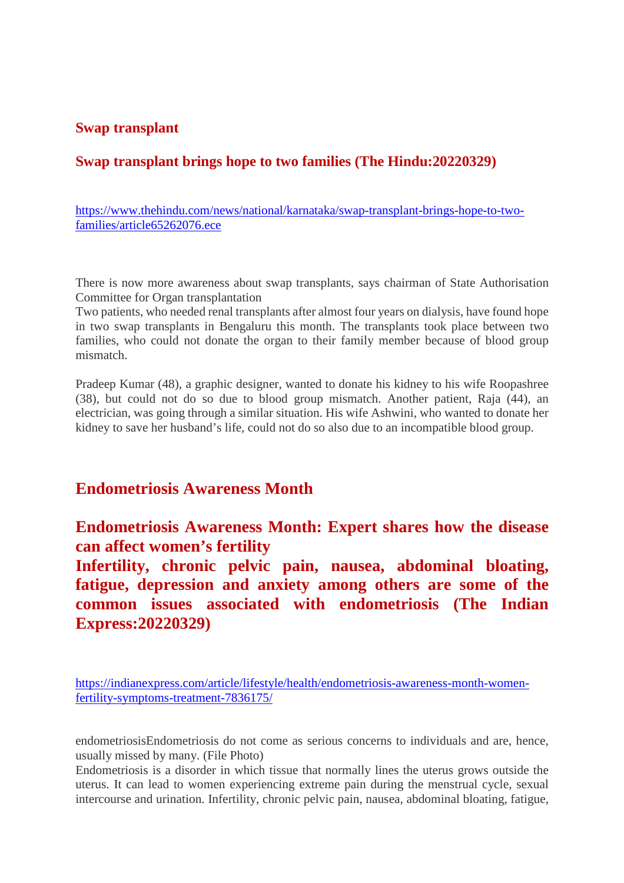#### **Swap transplant**

## **Swap transplant brings hope to two families (The Hindu:20220329)**

https://www.thehindu.com/news/national/karnataka/swap-transplant-brings-hope-to-twofamilies/article65262076.ece

There is now more awareness about swap transplants, says chairman of State Authorisation Committee for Organ transplantation

Two patients, who needed renal transplants after almost four years on dialysis, have found hope in two swap transplants in Bengaluru this month. The transplants took place between two families, who could not donate the organ to their family member because of blood group mismatch.

Pradeep Kumar (48), a graphic designer, wanted to donate his kidney to his wife Roopashree (38), but could not do so due to blood group mismatch. Another patient, Raja (44), an electrician, was going through a similar situation. His wife Ashwini, who wanted to donate her kidney to save her husband's life, could not do so also due to an incompatible blood group.

# **Endometriosis Awareness Month**

**Endometriosis Awareness Month: Expert shares how the disease can affect women's fertility**

**Infertility, chronic pelvic pain, nausea, abdominal bloating, fatigue, depression and anxiety among others are some of the common issues associated with endometriosis (The Indian Express:20220329)**

https://indianexpress.com/article/lifestyle/health/endometriosis-awareness-month-womenfertility-symptoms-treatment-7836175/

endometriosisEndometriosis do not come as serious concerns to individuals and are, hence, usually missed by many. (File Photo)

Endometriosis is a disorder in which tissue that normally lines the uterus grows outside the uterus. It can lead to women experiencing extreme pain during the menstrual cycle, sexual intercourse and urination. Infertility, chronic pelvic pain, nausea, abdominal bloating, fatigue,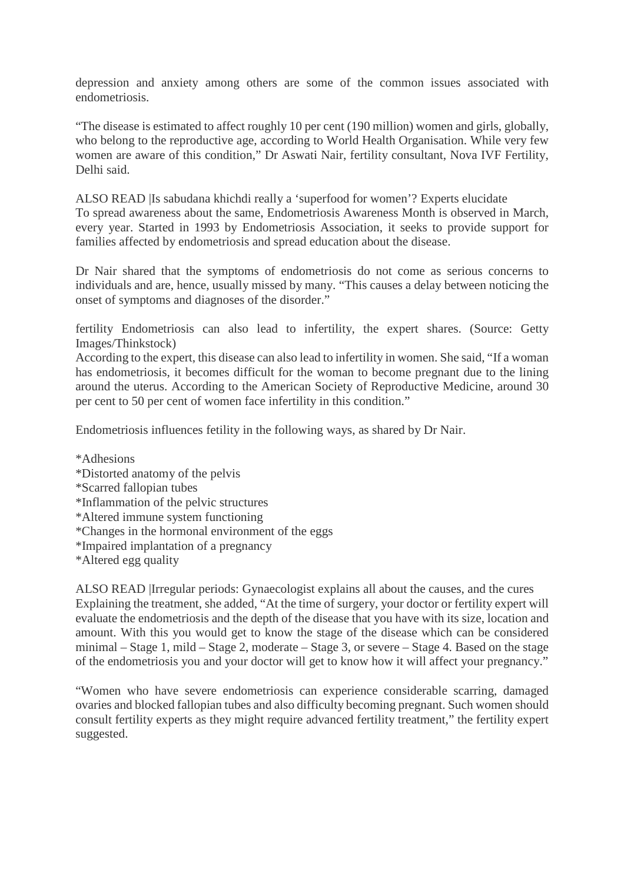depression and anxiety among others are some of the common issues associated with endometriosis.

"The disease is estimated to affect roughly 10 per cent (190 million) women and girls, globally, who belong to the reproductive age, according to World Health Organisation. While very few women are aware of this condition," Dr Aswati Nair, fertility consultant, Nova IVF Fertility, Delhi said.

ALSO READ |Is sabudana khichdi really a 'superfood for women'? Experts elucidate To spread awareness about the same, Endometriosis Awareness Month is observed in March, every year. Started in 1993 by Endometriosis Association, it seeks to provide support for families affected by endometriosis and spread education about the disease.

Dr Nair shared that the symptoms of endometriosis do not come as serious concerns to individuals and are, hence, usually missed by many. "This causes a delay between noticing the onset of symptoms and diagnoses of the disorder."

fertility Endometriosis can also lead to infertility, the expert shares. (Source: Getty Images/Thinkstock)

According to the expert, this disease can also lead to infertility in women. She said, "If a woman has endometriosis, it becomes difficult for the woman to become pregnant due to the lining around the uterus. According to the American Society of Reproductive Medicine, around 30 per cent to 50 per cent of women face infertility in this condition."

Endometriosis influences fetility in the following ways, as shared by Dr Nair.

\*Adhesions

- \*Distorted anatomy of the pelvis
- \*Scarred fallopian tubes
- \*Inflammation of the pelvic structures
- \*Altered immune system functioning
- \*Changes in the hormonal environment of the eggs
- \*Impaired implantation of a pregnancy
- \*Altered egg quality

ALSO READ |Irregular periods: Gynaecologist explains all about the causes, and the cures Explaining the treatment, she added, "At the time of surgery, your doctor or fertility expert will evaluate the endometriosis and the depth of the disease that you have with its size, location and amount. With this you would get to know the stage of the disease which can be considered minimal – Stage 1, mild – Stage 2, moderate – Stage 3, or severe – Stage 4. Based on the stage of the endometriosis you and your doctor will get to know how it will affect your pregnancy."

"Women who have severe endometriosis can experience considerable scarring, damaged ovaries and blocked fallopian tubes and also difficulty becoming pregnant. Such women should consult fertility experts as they might require advanced fertility treatment," the fertility expert suggested.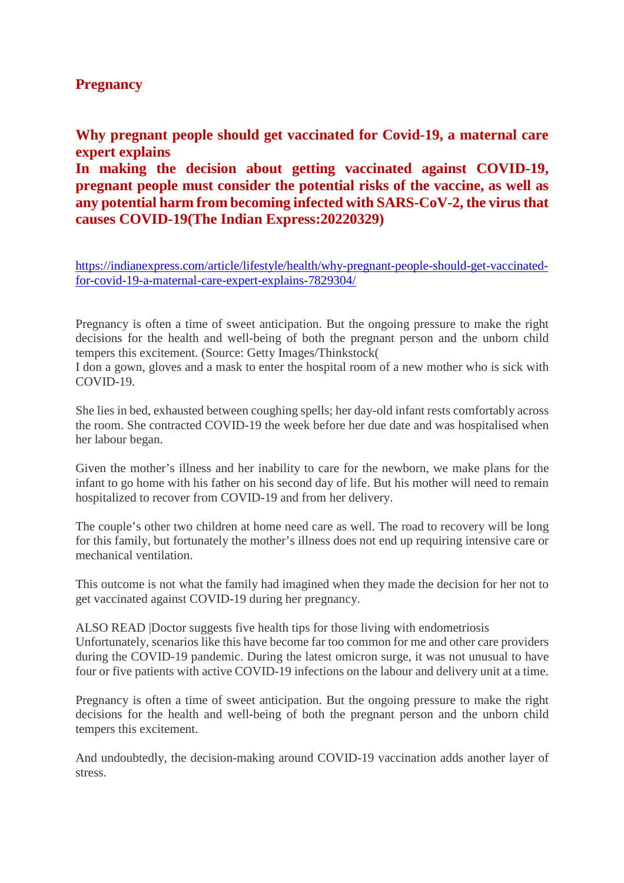## **Pregnancy**

**Why pregnant people should get vaccinated for Covid-19, a maternal care expert explains**

**In making the decision about getting vaccinated against COVID-19, pregnant people must consider the potential risks of the vaccine, as well as any potential harm from becoming infected with SARS-CoV-2, the virus that causes COVID-19(The Indian Express:20220329)**

https://indianexpress.com/article/lifestyle/health/why-pregnant-people-should-get-vaccinatedfor-covid-19-a-maternal-care-expert-explains-7829304/

Pregnancy is often a time of sweet anticipation. But the ongoing pressure to make the right decisions for the health and well-being of both the pregnant person and the unborn child tempers this excitement. (Source: Getty Images/Thinkstock(

I don a gown, gloves and a mask to enter the hospital room of a new mother who is sick with COVID-19.

She lies in bed, exhausted between coughing spells; her day-old infant rests comfortably across the room. She contracted COVID-19 the week before her due date and was hospitalised when her labour began.

Given the mother's illness and her inability to care for the newborn, we make plans for the infant to go home with his father on his second day of life. But his mother will need to remain hospitalized to recover from COVID-19 and from her delivery.

The couple's other two children at home need care as well. The road to recovery will be long for this family, but fortunately the mother's illness does not end up requiring intensive care or mechanical ventilation.

This outcome is not what the family had imagined when they made the decision for her not to get vaccinated against COVID-19 during her pregnancy.

ALSO READ |Doctor suggests five health tips for those living with endometriosis Unfortunately, scenarios like this have become far too common for me and other care providers during the COVID-19 pandemic. During the latest omicron surge, it was not unusual to have four or five patients with active COVID-19 infections on the labour and delivery unit at a time.

Pregnancy is often a time of sweet anticipation. But the ongoing pressure to make the right decisions for the health and well-being of both the pregnant person and the unborn child tempers this excitement.

And undoubtedly, the decision-making around COVID-19 vaccination adds another layer of stress.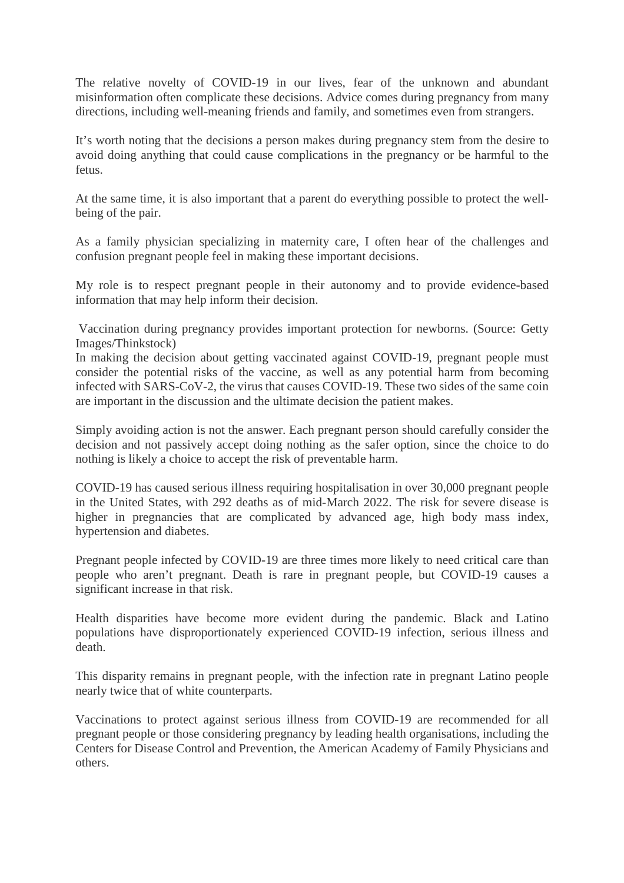The relative novelty of COVID-19 in our lives, fear of the unknown and abundant misinformation often complicate these decisions. Advice comes during pregnancy from many directions, including well-meaning friends and family, and sometimes even from strangers.

It's worth noting that the decisions a person makes during pregnancy stem from the desire to avoid doing anything that could cause complications in the pregnancy or be harmful to the fetus.

At the same time, it is also important that a parent do everything possible to protect the wellbeing of the pair.

As a family physician specializing in maternity care, I often hear of the challenges and confusion pregnant people feel in making these important decisions.

My role is to respect pregnant people in their autonomy and to provide evidence-based information that may help inform their decision.

Vaccination during pregnancy provides important protection for newborns. (Source: Getty Images/Thinkstock)

In making the decision about getting vaccinated against COVID-19, pregnant people must consider the potential risks of the vaccine, as well as any potential harm from becoming infected with SARS-CoV-2, the virus that causes COVID-19. These two sides of the same coin are important in the discussion and the ultimate decision the patient makes.

Simply avoiding action is not the answer. Each pregnant person should carefully consider the decision and not passively accept doing nothing as the safer option, since the choice to do nothing is likely a choice to accept the risk of preventable harm.

COVID-19 has caused serious illness requiring hospitalisation in over 30,000 pregnant people in the United States, with 292 deaths as of mid-March 2022. The risk for severe disease is higher in pregnancies that are complicated by advanced age, high body mass index, hypertension and diabetes.

Pregnant people infected by COVID-19 are three times more likely to need critical care than people who aren't pregnant. Death is rare in pregnant people, but COVID-19 causes a significant increase in that risk.

Health disparities have become more evident during the pandemic. Black and Latino populations have disproportionately experienced COVID-19 infection, serious illness and death.

This disparity remains in pregnant people, with the infection rate in pregnant Latino people nearly twice that of white counterparts.

Vaccinations to protect against serious illness from COVID-19 are recommended for all pregnant people or those considering pregnancy by leading health organisations, including the Centers for Disease Control and Prevention, the American Academy of Family Physicians and others.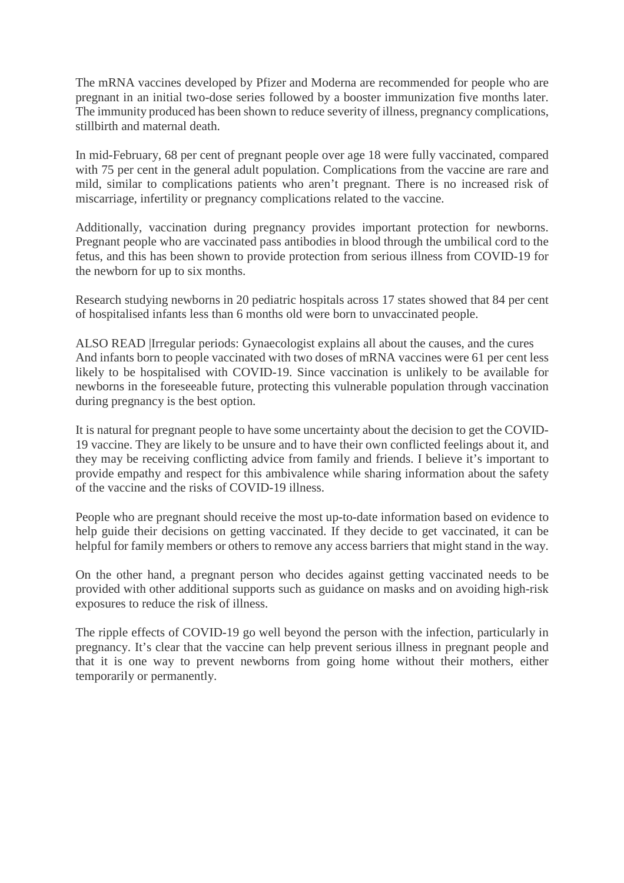The mRNA vaccines developed by Pfizer and Moderna are recommended for people who are pregnant in an initial two-dose series followed by a booster immunization five months later. The immunity produced has been shown to reduce severity of illness, pregnancy complications, stillbirth and maternal death.

In mid-February, 68 per cent of pregnant people over age 18 were fully vaccinated, compared with 75 per cent in the general adult population. Complications from the vaccine are rare and mild, similar to complications patients who aren't pregnant. There is no increased risk of miscarriage, infertility or pregnancy complications related to the vaccine.

Additionally, vaccination during pregnancy provides important protection for newborns. Pregnant people who are vaccinated pass antibodies in blood through the umbilical cord to the fetus, and this has been shown to provide protection from serious illness from COVID-19 for the newborn for up to six months.

Research studying newborns in 20 pediatric hospitals across 17 states showed that 84 per cent of hospitalised infants less than 6 months old were born to unvaccinated people.

ALSO READ |Irregular periods: Gynaecologist explains all about the causes, and the cures And infants born to people vaccinated with two doses of mRNA vaccines were 61 per cent less likely to be hospitalised with COVID-19. Since vaccination is unlikely to be available for newborns in the foreseeable future, protecting this vulnerable population through vaccination during pregnancy is the best option.

It is natural for pregnant people to have some uncertainty about the decision to get the COVID-19 vaccine. They are likely to be unsure and to have their own conflicted feelings about it, and they may be receiving conflicting advice from family and friends. I believe it's important to provide empathy and respect for this ambivalence while sharing information about the safety of the vaccine and the risks of COVID-19 illness.

People who are pregnant should receive the most up-to-date information based on evidence to help guide their decisions on getting vaccinated. If they decide to get vaccinated, it can be helpful for family members or others to remove any access barriers that might stand in the way.

On the other hand, a pregnant person who decides against getting vaccinated needs to be provided with other additional supports such as guidance on masks and on avoiding high-risk exposures to reduce the risk of illness.

The ripple effects of COVID-19 go well beyond the person with the infection, particularly in pregnancy. It's clear that the vaccine can help prevent serious illness in pregnant people and that it is one way to prevent newborns from going home without their mothers, either temporarily or permanently.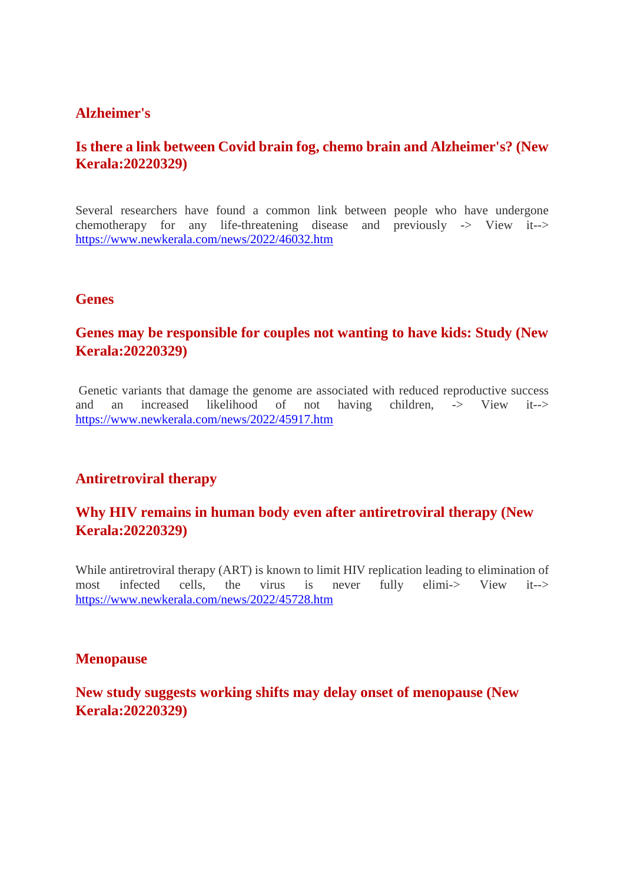#### **Alzheimer's**

# **Is there a link between Covid brain fog, chemo brain and Alzheimer's? (New Kerala:20220329)**

Several researchers have found a common link between people who have undergone chemotherapy for any life-threatening disease and previously -> View it--> https://www.newkerala.com/news/2022/46032.htm

#### **Genes**

# **Genes may be responsible for couples not wanting to have kids: Study (New Kerala:20220329)**

Genetic variants that damage the genome are associated with reduced reproductive success and an increased likelihood of not having children, -> View it--> https://www.newkerala.com/news/2022/45917.htm

# **Antiretroviral therapy**

# **Why HIV remains in human body even after antiretroviral therapy (New Kerala:20220329)**

While antiretroviral therapy (ART) is known to limit HIV replication leading to elimination of most infected cells, the virus is never fully elimi-> View it--> https://www.newkerala.com/news/2022/45728.htm

#### **Menopause**

## **New study suggests working shifts may delay onset of menopause (New Kerala:20220329)**